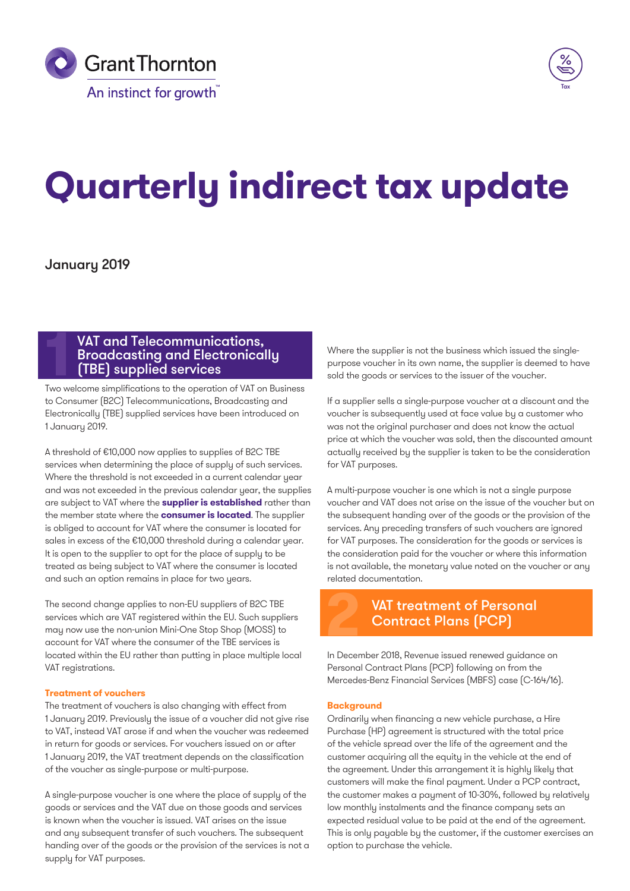



# **Quarterly indirect tax update**

# January 2019

# **12 VAT and Telecommunications,<br><b>Broadcasting and Electronical**<br>**11 TBE) supplied services**<br>Two welcome simplifications to the operation of VAT on Broadcasting and Electronically (TBE) supplied services

Two welcome simplifications to the operation of VAT on Business to Consumer (B2C) Telecommunications, Broadcasting and Electronically (TBE) supplied services have been introduced on 1 January 2019.

A threshold of €10,000 now applies to supplies of B2C TBE services when determining the place of supply of such services. Where the threshold is not exceeded in a current calendar year and was not exceeded in the previous calendar year, the supplies are subject to VAT where the **supplier is established** rather than the member state where the **consumer is located**. The supplier is obliged to account for VAT where the consumer is located for sales in excess of the €10,000 threshold during a calendar year. It is open to the supplier to opt for the place of supply to be treated as being subject to VAT where the consumer is located and such an option remains in place for two years.

The second change applies to non-EU suppliers of B2C TBE services which are VAT registered within the EU. Such suppliers may now use the non-union Mini-One Stop Shop (MOSS) to account for VAT where the consumer of the TBE services is located within the EU rather than putting in place multiple local VAT registrations.

#### **Treatment of vouchers**

The treatment of vouchers is also changing with effect from 1 January 2019. Previously the issue of a voucher did not give rise to VAT, instead VAT arose if and when the voucher was redeemed in return for goods or services. For vouchers issued on or after 1 January 2019, the VAT treatment depends on the classification of the voucher as single-purpose or multi-purpose.

A single-purpose voucher is one where the place of supply of the goods or services and the VAT due on those goods and services is known when the voucher is issued. VAT arises on the issue and any subsequent transfer of such vouchers. The subsequent handing over of the goods or the provision of the services is not a supply for VAT purposes.

Where the supplier is not the business which issued the singlepurpose voucher in its own name, the supplier is deemed to have sold the goods or services to the issuer of the voucher.

If a supplier sells a single-purpose voucher at a discount and the voucher is subsequently used at face value by a customer who was not the original purchaser and does not know the actual price at which the voucher was sold, then the discounted amount actually received by the supplier is taken to be the consideration for VAT purposes.

A multi-purpose voucher is one which is not a single purpose voucher and VAT does not arise on the issue of the voucher but on the subsequent handing over of the goods or the provision of the services. Any preceding transfers of such vouchers are ignored for VAT purposes. The consideration for the goods or services is the consideration paid for the voucher or where this information is not available, the monetary value noted on the voucher or any related documentation.



# VAT treatment of Personal<br>**Contract Plans (PCP)**

In December 2018, Revenue issued renewed guidance on Personal Contract Plans (PCP) following on from the Mercedes-Benz Financial Services (MBFS) case (C-164/16).

#### **Background**

Ordinarily when financing a new vehicle purchase, a Hire Purchase (HP) agreement is structured with the total price of the vehicle spread over the life of the agreement and the customer acquiring all the equity in the vehicle at the end of the agreement. Under this arrangement it is highly likely that customers will make the final payment. Under a PCP contract, the customer makes a payment of 10-30%, followed by relatively low monthly instalments and the finance company sets an expected residual value to be paid at the end of the agreement. This is only payable by the customer, if the customer exercises an option to purchase the vehicle.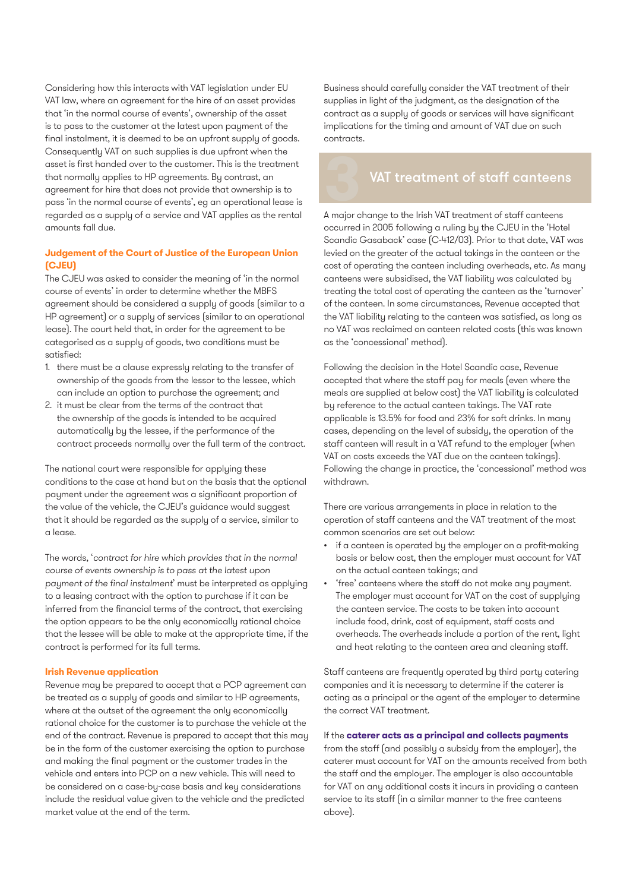Considering how this interacts with VAT legislation under EU VAT law, where an agreement for the hire of an asset provides that 'in the normal course of events', ownership of the asset is to pass to the customer at the latest upon payment of the final instalment, it is deemed to be an upfront supply of goods. Consequently VAT on such supplies is due upfront when the asset is first handed over to the customer. This is the treatment that normally applies to HP agreements. By contrast, an agreement for hire that does not provide that ownership is to pass 'in the normal course of events', eg an operational lease is regarded as a supply of a service and VAT applies as the rental amounts fall due.

#### **Judgement of the Court of Justice of the European Union (CJEU)**

The CJEU was asked to consider the meaning of 'in the normal course of events' in order to determine whether the MBFS agreement should be considered a supply of goods (similar to a HP agreement) or a supply of services (similar to an operational lease). The court held that, in order for the agreement to be categorised as a supply of goods, two conditions must be satisfied:

- 1. there must be a clause expressly relating to the transfer of ownership of the goods from the lessor to the lessee, which can include an option to purchase the agreement; and
- 2. it must be clear from the terms of the contract that the ownership of the goods is intended to be acquired automatically by the lessee, if the performance of the contract proceeds normally over the full term of the contract.

The national court were responsible for applying these conditions to the case at hand but on the basis that the optional payment under the agreement was a significant proportion of the value of the vehicle, the CJEU's guidance would suggest that it should be regarded as the supply of a service, similar to a lease.

The words, '*contract for hire which provides that in the normal course of events ownership is to pass at the latest upon payment of the final instalment*' must be interpreted as applying to a leasing contract with the option to purchase if it can be inferred from the financial terms of the contract, that exercising the option appears to be the only economically rational choice that the lessee will be able to make at the appropriate time, if the contract is performed for its full terms.

#### **Irish Revenue application**

Revenue may be prepared to accept that a PCP agreement can be treated as a supply of goods and similar to HP agreements, where at the outset of the agreement the only economically rational choice for the customer is to purchase the vehicle at the end of the contract. Revenue is prepared to accept that this may be in the form of the customer exercising the option to purchase and making the final payment or the customer trades in the vehicle and enters into PCP on a new vehicle. This will need to be considered on a case-by-case basis and key considerations include the residual value given to the vehicle and the predicted market value at the end of the term.

Business should carefully consider the VAT treatment of their supplies in light of the judgment, as the designation of the contract as a supply of goods or services will have significant implications for the timing and amount of VAT due on such contracts.

# **3**VAT treatment of staff canteens

A major change to the Irish VAT treatment of staff canteens occurred in 2005 following a ruling by the CJEU in the 'Hotel Scandic Gasaback' case (C-412/03). Prior to that date, VAT was levied on the greater of the actual takings in the canteen or the cost of operating the canteen including overheads, etc. As many canteens were subsidised, the VAT liability was calculated by treating the total cost of operating the canteen as the 'turnover' of the canteen. In some circumstances, Revenue accepted that the VAT liability relating to the canteen was satisfied, as long as no VAT was reclaimed on canteen related costs (this was known as the 'concessional' method).

Following the decision in the Hotel Scandic case, Revenue accepted that where the staff pay for meals (even where the meals are supplied at below cost) the VAT liability is calculated by reference to the actual canteen takings. The VAT rate applicable is 13.5% for food and 23% for soft drinks. In many cases, depending on the level of subsidy, the operation of the staff canteen will result in a VAT refund to the employer (when VAT on costs exceeds the VAT due on the canteen takings). Following the change in practice, the 'concessional' method was withdrawn.

There are various arrangements in place in relation to the operation of staff canteens and the VAT treatment of the most common scenarios are set out below:

- if a canteen is operated by the employer on a profit-making basis or below cost, then the employer must account for VAT on the actual canteen takings; and
- 'free' canteens where the staff do not make any payment. The employer must account for VAT on the cost of supplying the canteen service. The costs to be taken into account include food, drink, cost of equipment, staff costs and overheads. The overheads include a portion of the rent, light and heat relating to the canteen area and cleaning staff.

Staff canteens are frequently operated by third party catering companies and it is necessary to determine if the caterer is acting as a principal or the agent of the employer to determine the correct VAT treatment.

#### If the **caterer acts as a principal and collects payments**

from the staff (and possibly a subsidy from the employer), the caterer must account for VAT on the amounts received from both the staff and the employer. The employer is also accountable for VAT on any additional costs it incurs in providing a canteen service to its staff (in a similar manner to the free canteens above).